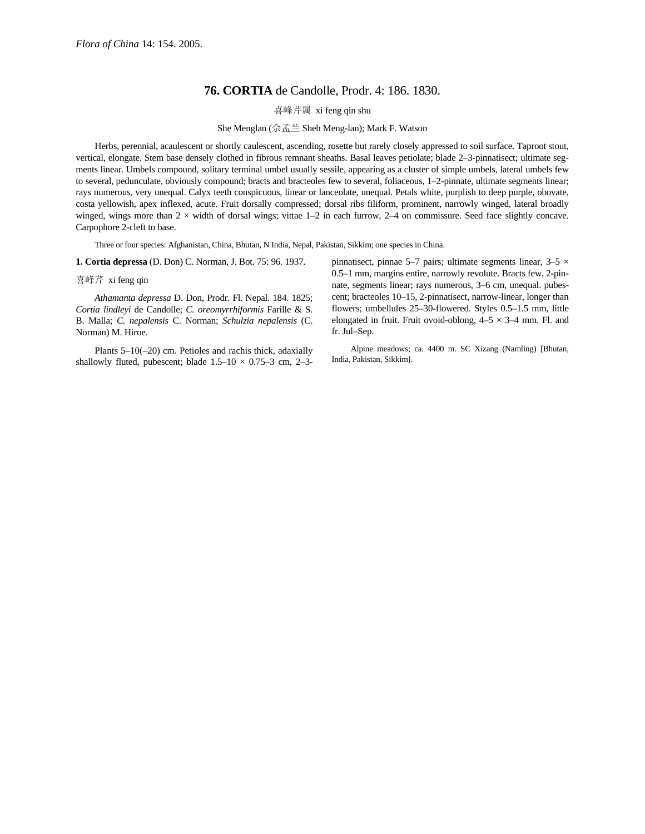## **76. CORTIA** de Candolle, Prodr. 4: 186. 1830.

喜峰芹属 xi feng qin shu

She Menglan (佘孟兰 Sheh Meng-lan); Mark F. Watson

Herbs, perennial, acaulescent or shortly caulescent, ascending, rosette but rarely closely appressed to soil surface. Taproot stout, vertical, elongate. Stem base densely clothed in fibrous remnant sheaths. Basal leaves petiolate; blade 2–3-pinnatisect; ultimate segments linear. Umbels compound, solitary terminal umbel usually sessile, appearing as a cluster of simple umbels, lateral umbels few to several, pedunculate, obviously compound; bracts and bracteoles few to several, foliaceous, 1–2-pinnate, ultimate segments linear; rays numerous, very unequal. Calyx teeth conspicuous, linear or lanceolate, unequal. Petals white, purplish to deep purple, obovate, costa yellowish, apex inflexed, acute. Fruit dorsally compressed; dorsal ribs filiform, prominent, narrowly winged, lateral broadly winged, wings more than  $2 \times$  width of dorsal wings; vittae  $1-2$  in each furrow,  $2-4$  on commissure. Seed face slightly concave. Carpophore 2-cleft to base.

Three or four species: Afghanistan, China, Bhutan, N India, Nepal, Pakistan, Sikkim; one species in China.

**1. Cortia depressa** (D. Don) C. Norman, J. Bot. 75: 96. 1937.

喜峰芹 xi feng qin

*Athamanta depressa* D. Don, Prodr. Fl. Nepal. 184. 1825; *Cortia lindleyi* de Candolle; *C. oreomyrrhiformis* Farille & S. B. Malla; *C. nepalensis* C. Norman; *Schulzia nepalensis* (C. Norman) M. Hiroe.

Plants 5–10(–20) cm. Petioles and rachis thick, adaxially shallowly fluted, pubescent; blade  $1.5-10 \times 0.75-3$  cm, 2-3pinnatisect, pinnae 5–7 pairs; ultimate segments linear,  $3-5 \times$ 0.5–1 mm, margins entire, narrowly revolute. Bracts few, 2-pinnate, segments linear; rays numerous, 3–6 cm, unequal. pubescent; bracteoles 10–15, 2-pinnatisect, narrow-linear, longer than flowers; umbellules 25–30-flowered. Styles 0.5–1.5 mm, little elongated in fruit. Fruit ovoid-oblong,  $4-5 \times 3-4$  mm. Fl. and fr. Jul–Sep.

Alpine meadows; ca. 4400 m. SC Xizang (Namling) [Bhutan, India, Pakistan, Sikkim].